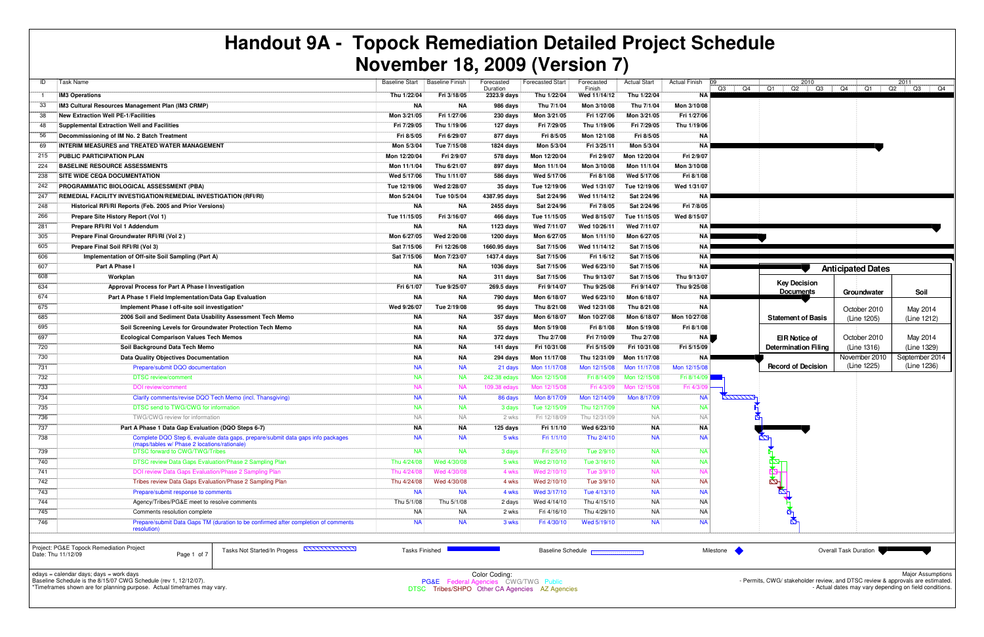|                  |                                                                                                                                                                                                                                                                                                                                                                                                                                                                           |                       |                 |                        | 1101                     |                      |                     |                      |                 |                                                                             |                          |                |
|------------------|---------------------------------------------------------------------------------------------------------------------------------------------------------------------------------------------------------------------------------------------------------------------------------------------------------------------------------------------------------------------------------------------------------------------------------------------------------------------------|-----------------------|-----------------|------------------------|--------------------------|----------------------|---------------------|----------------------|-----------------|-----------------------------------------------------------------------------|--------------------------|----------------|
| ID               | <b>Task Name</b>                                                                                                                                                                                                                                                                                                                                                                                                                                                          | <b>Baseline Start</b> | Baseline Finish | Forecasted<br>Duration | Forecasted Start         | Forecasted<br>Finish | <b>Actual Start</b> | <b>Actual Finish</b> | 109             | 2010<br>$Q3$   $Q4$   $Q1$   $Q2$   $Q3$   $Q4$   $Q1$   $Q2$   $Q3$   $Q4$ |                          | 2011           |
|                  | <b>IM3 Operations</b>                                                                                                                                                                                                                                                                                                                                                                                                                                                     | Thu 1/22/04           | Fri 3/18/05     | 2323.9 days            | Thu 1/22/04              | Wed 11/14/12         | Thu 1/22/04         | <b>NA</b>            |                 |                                                                             |                          |                |
| 33               | IM3 Cultural Resources Management Plan (IM3 CRMP)                                                                                                                                                                                                                                                                                                                                                                                                                         | NA                    | NA              | 986 days               | Thu 7/1/04               | Mon 3/10/08          | Thu 7/1/04          | Mon 3/10/08          |                 |                                                                             |                          |                |
| 38               | <b>New Extraction Well PE-1/Facilities</b>                                                                                                                                                                                                                                                                                                                                                                                                                                | Mon 3/21/05           | Fri 1/27/06     | 230 days               | Mon 3/21/05              | Fri 1/27/06          | Mon 3/21/05         | Fri 1/27/06          |                 |                                                                             |                          |                |
| 48               | <b>Supplemental Extraction Well and Facilities</b>                                                                                                                                                                                                                                                                                                                                                                                                                        | Fri 7/29/05           | Thu 1/19/06     | 127 days               | Fri 7/29/05              | Thu 1/19/06          | Fri 7/29/05         | Thu 1/19/06          |                 |                                                                             |                          |                |
| 56               | Decommissioning of IM No. 2 Batch Treatment                                                                                                                                                                                                                                                                                                                                                                                                                               | Fri 8/5/05            | Fri 6/29/07     | 877 days               | Fri 8/5/05               | Mon 12/1/08          | Fri 8/5/05          | ΝA                   |                 |                                                                             |                          |                |
| 69               | <b>INTERIM MEASURES and TREATED WATER MANAGEMENT</b>                                                                                                                                                                                                                                                                                                                                                                                                                      | Mon 5/3/04            | Tue 7/15/08     | 1824 days              | Mon 5/3/04               | Fri 3/25/11          | Mon 5/3/04          | ΝA                   |                 |                                                                             |                          |                |
| 215              | PUBLIC PARTICIPATION PLAN                                                                                                                                                                                                                                                                                                                                                                                                                                                 | Mon 12/20/04          | Fri 2/9/07      | 578 days               | Mon 12/20/04             | Fri 2/9/07           | Mon 12/20/04        | Fri 2/9/07           |                 |                                                                             |                          |                |
| 224              | <b>BASELINE RESOURCE ASSESSMENTS</b>                                                                                                                                                                                                                                                                                                                                                                                                                                      | Mon 11/1/04           | Thu 6/21/07     | 897 days               | Mon 11/1/04              | Mon 3/10/08          | Mon 11/1/04         | Mon 3/10/08          |                 |                                                                             |                          |                |
| 238              | <b>SITE WIDE CEQA DOCUMENTATION</b>                                                                                                                                                                                                                                                                                                                                                                                                                                       | Wed 5/17/06           | Thu 1/11/07     | 586 days               | Wed 5/17/06              | Fri 8/1/08           | Wed 5/17/06         | Fri 8/1/08           |                 |                                                                             |                          |                |
| 242              | PROGRAMMATIC BIOLOGICAL ASSESSMENT (PBA)                                                                                                                                                                                                                                                                                                                                                                                                                                  | Tue 12/19/06          | Wed 2/28/07     | 35 days                | Tue 12/19/06             | Wed 1/31/07          | Tue 12/19/06        | Wed 1/31/07          |                 |                                                                             |                          |                |
| 247              | <b>REMEDIAL FACILITY INVESTIGATION/REMEDIAL INVESTIGATION (RFI/RI)</b>                                                                                                                                                                                                                                                                                                                                                                                                    | Mon 5/24/04           | Tue 10/5/04     | 4387.95 days           | Sat 2/24/96              | Wed 11/14/12         | Sat 2/24/96         | <b>NA</b>            |                 |                                                                             |                          |                |
| 248              | Historical RFI/RI Reports (Feb. 2005 and Prior Versions)                                                                                                                                                                                                                                                                                                                                                                                                                  | <b>NA</b>             | <b>NA</b>       | 2455 days              | Sat 2/24/96              | Fri 7/8/05           | Sat 2/24/96         | Fri 7/8/05           |                 |                                                                             |                          |                |
| 266              | Prepare Site History Report (Vol 1)                                                                                                                                                                                                                                                                                                                                                                                                                                       | Tue 11/15/05          | Fri 3/16/07     | 466 days               | Tue 11/15/05             | Wed 8/15/07          | Tue 11/15/05        | Wed 8/15/07          |                 |                                                                             |                          |                |
| 281              | Prepare RFI/RI Vol 1 Addendum                                                                                                                                                                                                                                                                                                                                                                                                                                             | NA                    | <b>NA</b>       | 1123 days              | Wed 7/11/07              | Wed 10/26/11         | Wed 7/11/07         | NA                   |                 |                                                                             |                          |                |
| 305              | Prepare Final Groundwater RFI/RI (Vol 2)                                                                                                                                                                                                                                                                                                                                                                                                                                  | Mon 6/27/05           | Wed 2/20/08     | 1200 days              | Mon 6/27/05              | Mon 1/11/10          | Mon 6/27/05         | ΝA                   |                 |                                                                             |                          |                |
| 605              | Prepare Final Soil RFI/RI (Vol 3)                                                                                                                                                                                                                                                                                                                                                                                                                                         | Sat 7/15/06           | Fri 12/26/08    | 1660.95 days           | Sat 7/15/06              | Wed 11/14/12         | Sat 7/15/06         | ΝA                   |                 |                                                                             |                          |                |
| 606              | Implementation of Off-site Soil Sampling (Part A)                                                                                                                                                                                                                                                                                                                                                                                                                         | Sat 7/15/06           | Mon 7/23/07     | 1437.4 days            | Sat 7/15/06              | Fri 1/6/12           | Sat 7/15/06         | <b>NA</b>            |                 |                                                                             |                          |                |
| 607              | Part A Phase I                                                                                                                                                                                                                                                                                                                                                                                                                                                            | <b>NA</b>             | <b>NA</b>       | 1036 days              | Sat 7/15/06              | Wed 6/23/10          | Sat 7/15/06         | NA I                 |                 |                                                                             | <b>Anticipated Dates</b> |                |
| 608              | Workplan                                                                                                                                                                                                                                                                                                                                                                                                                                                                  | <b>NA</b>             | <b>NA</b>       | 311 days               | Sat 7/15/06              | Thu 9/13/07          | Sat 7/15/06         | Thu 9/13/07          |                 |                                                                             |                          |                |
| 634              | Approval Process for Part A Phase I Investigation                                                                                                                                                                                                                                                                                                                                                                                                                         | Fri 6/1/07            | Tue 9/25/07     | 269.5 days             | Fri 9/14/07              | Thu 9/25/08          | Fri 9/14/07         | Thu 9/25/08          |                 | <b>Key Decision</b>                                                         |                          |                |
| 674              | Part A Phase 1 Field Implementation/Data Gap Evaluation                                                                                                                                                                                                                                                                                                                                                                                                                   | <b>NA</b>             | <b>NA</b>       | 790 days               | Mon 6/18/07              | Wed 6/23/10          | Mon 6/18/07         | ΝA                   |                 | <b>Documents</b>                                                            | Groundwater              | Soil           |
| 675              | Implement Phase I off-site soil investigation*                                                                                                                                                                                                                                                                                                                                                                                                                            | Wed 9/26/07           | Tue 2/19/08     | 95 days                | Thu 8/21/08              | Wed 12/31/08         | Thu 8/21/08         | ΝA                   |                 |                                                                             | October 2010             | May 2014       |
| 685              | 2006 Soil and Sediment Data Usability Assessment Tech Memo                                                                                                                                                                                                                                                                                                                                                                                                                | NA                    | <b>NA</b>       | 357 days               | Mon 6/18/07              | Mon 10/27/08         | Mon 6/18/07         | Mon 10/27/08         |                 | <b>Statement of Basis</b>                                                   | (Line 1205)              | (Line 1212)    |
| 695              | Soil Screening Levels for Groundwater Protection Tech Memo                                                                                                                                                                                                                                                                                                                                                                                                                | <b>NA</b>             | <b>NA</b>       | 55 days                | Mon 5/19/08              | Fri 8/1/08           | Mon 5/19/08         | Fri 8/1/08           |                 |                                                                             |                          |                |
| 697              | <b>Ecological Comparison Values Tech Memos</b>                                                                                                                                                                                                                                                                                                                                                                                                                            | <b>NA</b>             | <b>NA</b>       | 372 days               | Thu 2/7/08               | Fri 7/10/09          | Thu 2/7/08          | NA                   |                 | <b>EIR Notice of</b>                                                        | October 2010             | May 2014       |
| 720              | Soil Background Data Tech Memo                                                                                                                                                                                                                                                                                                                                                                                                                                            | <b>NA</b>             | <b>NA</b>       | 141 days               | Fri 10/31/08             | Fri 5/15/09          | Fri 10/31/08        | Fri 5/15/09          |                 | Determination Filing                                                        | (Line 1316)              | (Line 1329)    |
| 730              | <b>Data Quality Objectives Documentation</b>                                                                                                                                                                                                                                                                                                                                                                                                                              | NA                    | <b>NA</b>       | 294 days               | Mon 11/17/08             | Thu 12/31/09         | Mon 11/17/08        | <b>NA</b>            |                 |                                                                             | November 2010            | September 2014 |
| 731              | Prepare/submit DQO documentation                                                                                                                                                                                                                                                                                                                                                                                                                                          | <b>NA</b>             | <b>NA</b>       | 21 days                | Mon 11/17/08             | Mon 12/15/08         | Mon 11/17/08        | Mon 12/15/08         |                 | <b>Record of Decision</b>                                                   | (Line 1225)              | (Line 1236)    |
| 732              | <b>DTSC</b> review/comment                                                                                                                                                                                                                                                                                                                                                                                                                                                | <b>NA</b>             | <b>NA</b>       | 242.38 edays           | Mon 12/15/08             | Fri 8/14/09          | Mon 12/15/08        | Fri 8/14/09          |                 |                                                                             |                          |                |
| 733              | DOI review/comment                                                                                                                                                                                                                                                                                                                                                                                                                                                        | <b>NA</b>             | <b>NA</b>       | 109.38 edays           | Mon 12/15/08             | Fri 4/3/09           | Mon 12/15/08        | Fri 4/3/0            |                 |                                                                             |                          |                |
| 734              | Clarify comments/revise DQO Tech Memo (incl. Thansgiving)                                                                                                                                                                                                                                                                                                                                                                                                                 | <b>NA</b>             | <b>NA</b>       | 86 days                | Mon 8/17/09              | Mon 12/14/09         | Mon 8/17/09         | <b>NA</b>            | <b>KITTITTA</b> |                                                                             |                          |                |
| 735              | DTSC send to TWG/CWG for information                                                                                                                                                                                                                                                                                                                                                                                                                                      | <b>NA</b>             | <b>NA</b>       | 3 days                 | Tue 12/15/09             | Thu 12/17/09         | <b>NA</b>           | <b>NA</b>            |                 |                                                                             |                          |                |
| 736              | TWG/CWG review for information                                                                                                                                                                                                                                                                                                                                                                                                                                            | <b>NA</b>             | <b>NA</b>       | 2 wks                  | Fri 12/18/09             | Thu 12/31/09         | <b>NA</b>           | <b>NA</b>            |                 |                                                                             |                          |                |
| $\overline{737}$ | Part A Phase 1 Data Gap Evaluation (DQO Steps 6-7)                                                                                                                                                                                                                                                                                                                                                                                                                        | NA                    | ΝA              | 125 days               | Fri 1/1/10               | Wed 6/23/10          | <b>NA</b>           | ΝA                   |                 |                                                                             |                          |                |
| 738              | Complete DQO Step 6, evaluate data gaps, prepare/submit data gaps info packages<br>(maps/tables w/ Phase 2 locations/rationale)                                                                                                                                                                                                                                                                                                                                           | <b>NA</b>             | <b>NA</b>       | 5 wks                  | Fri 1/1/10               | Thu 2/4/10           | <b>NA</b>           | <b>NA</b>            |                 | Ŋ                                                                           |                          |                |
| 739              | DTSC forward to CWG/TWG/Tribes                                                                                                                                                                                                                                                                                                                                                                                                                                            | <b>NA</b>             | <b>NA</b>       | 3 days                 | Fri 2/5/10               | Tue 2/9/10           | <b>NA</b>           | <b>NA</b>            |                 |                                                                             |                          |                |
| 740              | DTSC review Data Gaps Evaluation/Phase 2 Sampling Plan                                                                                                                                                                                                                                                                                                                                                                                                                    | Thu 4/24/08           | Wed 4/30/08     | 5 wks                  | Wed 2/10/10              | Tue 3/16/10          | <b>NA</b>           | <b>NA</b>            |                 |                                                                             |                          |                |
| 741              | DOI review Data Gaps Evaluation/Phase 2 Sampling Plan                                                                                                                                                                                                                                                                                                                                                                                                                     | Thu 4/24/08           | Wed 4/30/08     | 4 wks                  | Wed 2/10/10              | Tue 3/9/10           | <b>NA</b>           | <b>NA</b>            |                 | ⋭                                                                           |                          |                |
| 742              | Tribes review Data Gaps Evaluation/Phase 2 Sampling Plan                                                                                                                                                                                                                                                                                                                                                                                                                  | Thu 4/24/08           | Wed 4/30/08     | 4 wks                  | Wed 2/10/10              | Tue 3/9/10           | <b>NA</b>           | <b>NA</b>            |                 | 阿                                                                           |                          |                |
| 743              | Prepare/submit response to comments                                                                                                                                                                                                                                                                                                                                                                                                                                       | <b>NA</b>             | <b>NA</b>       | 4 wks                  | Wed 3/17/10              | Tue 4/13/10          | <b>NA</b>           | <b>NA</b>            |                 |                                                                             |                          |                |
| 744              | Agency/Tribes/PG&E meet to resolve comments                                                                                                                                                                                                                                                                                                                                                                                                                               | Thu 5/1/08            | Thu 5/1/08      | 2 days                 | Wed 4/14/10              | Thu 4/15/10          | NA                  | <b>NA</b>            |                 |                                                                             |                          |                |
| 745              | Comments resolution complete                                                                                                                                                                                                                                                                                                                                                                                                                                              | NA                    | NA              | 2 wks                  | Fri 4/16/10              | Thu 4/29/10          | NA                  | <b>NA</b>            |                 |                                                                             |                          |                |
| 746              | Prepare/submit Data Gaps TM (duration to be confirmed after completion of comments                                                                                                                                                                                                                                                                                                                                                                                        | <b>NA</b>             | <b>NA</b>       | 3 wks                  | Fri 4/30/10              | Wed 5/19/10          | <b>NA</b>           | <b>NA</b>            |                 |                                                                             |                          |                |
|                  | resolution)                                                                                                                                                                                                                                                                                                                                                                                                                                                               |                       |                 |                        |                          |                      |                     |                      |                 |                                                                             |                          |                |
|                  | Project: PG&E Topock Remediation Project<br>Tasks Not Started/In Progess <b>ANNIUMINAL</b><br>Date: Thu 11/12/09<br>Page 1 of 7                                                                                                                                                                                                                                                                                                                                           | <b>Tasks Finished</b> |                 |                        | <b>Baseline Schedule</b> |                      |                     |                      | Milestone       |                                                                             | Overall Task Duration    |                |
|                  | edays = calendar days; days = work days<br><b>Major Assumptions</b><br>Color Coding:<br>Baseline Schedule is the 8/15/07 CWG Schedule (rev 1, 12/12/07).<br>- Permits, CWG/ stakeholder review, and DTSC review & approvals are estimated.<br>PG&E Federal Agencies CWG/TWG Public<br>*Timeframes shown are for planning purpose. Actual timeframes may vary.<br>- Actual dates may vary depending on field conditions.<br>DTSC Tribes/SHPO Other CA Agencies AZ Agencies |                       |                 |                        |                          |                      |                     |                      |                 |                                                                             |                          |                |

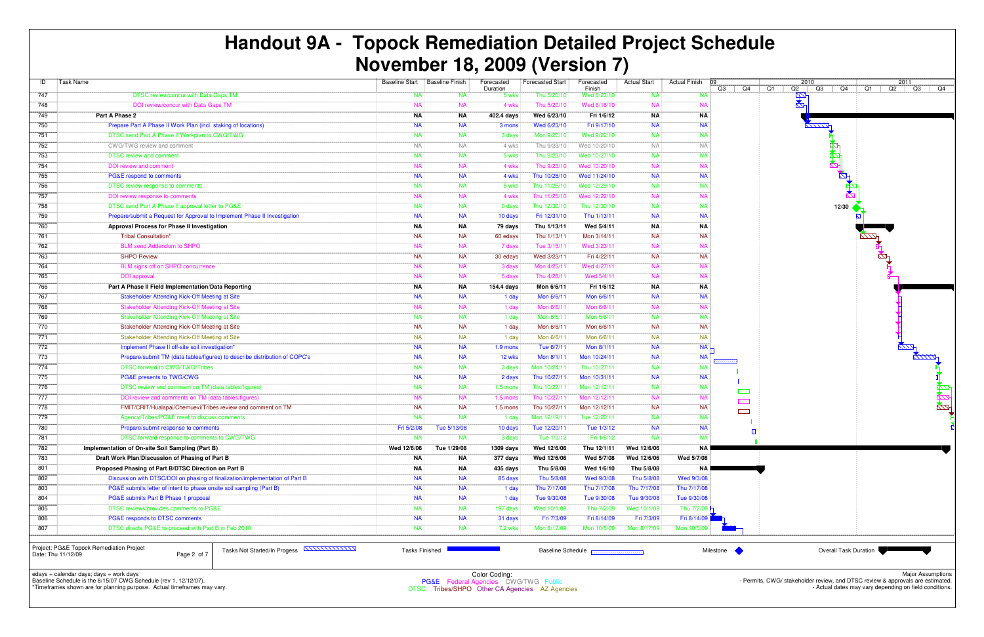Color Coding:<br>PG&E Federal Agencies CWG/TWG Public<br>C. Tribes/SUPO Other CA Agencies AZ Age DTSC Tribes/SHPO Other CA Agencies AZ Agencies

| ID  | <b>Task Name</b>                                                                                                                 | <b>Baseline Start</b> | <b>Baseline Finish</b> | Forecasted<br>Duration | <b>Forecasted Start</b> | Forecasted<br>Finish                                   | <b>Actual Start</b> | <b>Actual Finish</b><br>ng<br>Q3<br>Q4 | 2010<br>Q1<br>Q2<br>Q3<br>Q4   Q1 |
|-----|----------------------------------------------------------------------------------------------------------------------------------|-----------------------|------------------------|------------------------|-------------------------|--------------------------------------------------------|---------------------|----------------------------------------|-----------------------------------|
| 747 | DTSC review/concur with Data Gaps TM                                                                                             | NA                    | NA                     | 5 wks                  | Thu 5/20/10             | Wed 6/23/10                                            | NA                  | <b>NA</b>                              | łИ                                |
| 748 | DOI review/concur with Data Gaps TM                                                                                              | <b>NA</b>             | <b>NA</b>              | 4 wks                  | Thu 5/20/10             | Wed 6/16/10                                            | <b>NA</b>           | N/                                     | $\mathbb{Z}$                      |
| 749 | Part A Phase 2                                                                                                                   | ΝA                    | <b>NA</b>              | 402.4 days             | Wed 6/23/10             | Fri 1/6/12                                             | <b>NA</b>           | <b>NA</b>                              |                                   |
| 750 | Prepare Part A Phase II Work Plan (incl. staking of locations)                                                                   | <b>NA</b>             | <b>NA</b>              | 3 mons                 | Wed 6/23/10             | Fri 9/17/10                                            | <b>NA</b>           | <b>NA</b>                              | $\sqrt{11772}$                    |
| 751 | DTSC send Part A Phase II Workplan to CWG/TWG                                                                                    | <b>NA</b>             | <b>NA</b>              | 3 days                 | Mon 9/20/10             | Wed 9/22/10                                            | <b>NA</b>           | <b>NA</b>                              |                                   |
| 752 | CWG/TWG review and comment                                                                                                       | <b>NA</b>             | <b>NA</b>              | 4 wks                  | Thu 9/23/10             | Wed 10/20/10                                           | <b>NA</b>           | <b>NA</b>                              |                                   |
| 753 | <b>DTSC review and comment</b>                                                                                                   | <b>NA</b>             | <b>NA</b>              | 5 wks                  | Thu 9/23/10             | Wed 10/27/10                                           | <b>NA</b>           | <b>NA</b>                              |                                   |
| 754 | <b>DOI</b> review and comment                                                                                                    | <b>NA</b>             | <b>NA</b>              | 4 wks                  | Thu 9/23/10             | Wed 10/20/10                                           | <b>NA</b>           | N                                      |                                   |
| 755 | PG&E respond to comments                                                                                                         | <b>NA</b>             | <b>NA</b>              | 4 wks                  | Thu 10/28/10            | Wed 11/24/10                                           | <b>NA</b>           | <b>NA</b>                              |                                   |
| 756 | DTSC review response to comments                                                                                                 | <b>NA</b>             | <b>NA</b>              | 5 wks                  | Thu 11/25/10            | Wed 12/29/10                                           | <b>NA</b>           | <b>NA</b>                              |                                   |
| 757 | DOI review response to comments                                                                                                  | <b>NA</b>             | <b>NA</b>              | 4 wks                  | Thu 11/25/10            | Wed 12/22/10                                           | <b>NA</b>           | N                                      |                                   |
| 758 | DTSC send Part A Phase II approval letter to PG&E                                                                                | <b>NA</b>             | <b>NA</b>              | 0 days                 | Thu 12/30/10            | Thu 12/30/10                                           | <b>NA</b>           | <b>NA</b>                              | 12/30 $\triangleleft$             |
| 759 | Prepare/submit a Request for Approval to Implement Phase II Investigation                                                        | <b>NA</b>             | <b>NA</b>              | 10 days                | Fri 12/31/10            | Thu 1/13/11                                            | <b>NA</b>           | <b>NA</b>                              |                                   |
| 760 | Approval Process for Phase II Investigation                                                                                      | ΝA                    | NA                     | 79 days                | Thu 1/13/11             | Wed 5/4/11                                             | <b>NA</b>           | <b>NA</b>                              |                                   |
| 761 | <b>Tribal Consultation*</b>                                                                                                      | <b>NA</b>             | <b>NA</b>              | 60 edays               | Thu 1/13/11             | Mon 3/14/11                                            | <b>NA</b>           | <b>NA</b>                              |                                   |
| 762 | <b>BLM send Addendum to SHPO</b>                                                                                                 | <b>NA</b>             | <b>NA</b>              | 7 days                 | Tue 3/15/11             | Wed 3/23/11                                            | <b>NA</b>           | N                                      |                                   |
| 763 | <b>SHPO Review</b>                                                                                                               | <b>NA</b>             | <b>NA</b>              | 30 edays               | Wed 3/23/11             | Fri 4/22/11                                            | <b>NA</b>           | <b>NA</b>                              |                                   |
| 764 | BLM signs off on SHPO concurrence                                                                                                | <b>NA</b>             | <b>NA</b>              | 3 days                 | Mon 4/25/11             | Wed 4/27/11                                            | <b>NA</b>           | <b>NA</b>                              |                                   |
| 765 | <b>DOI</b> approval                                                                                                              | <b>NA</b>             | <b>NA</b>              | 5 days                 | Thu 4/28/1              | Wed 5/4/11                                             | <b>NA</b>           | <b>NA</b>                              |                                   |
| 766 | Part A Phase II Field Implementation/Data Reporting                                                                              | ΝA                    | NA                     | 154.4 days             | Mon 6/6/11              | Fri 1/6/12                                             | <b>NA</b>           | <b>NA</b>                              |                                   |
| 767 | Stakeholder Attending Kick-Off Meeting at Site                                                                                   | <b>NA</b>             | <b>NA</b>              | 1 day                  | Mon 6/6/11              | Mon 6/6/11                                             | <b>NA</b>           | <b>NA</b>                              |                                   |
| 768 | Stakeholder Attending Kick-Off Meeting at Site                                                                                   | <b>NA</b>             | <b>NA</b>              | 1 day                  | Mon 6/6/11              | Mon 6/6/11                                             | <b>NA</b>           | N                                      |                                   |
| 769 | Stakeholder Attending Kick-Off Meeting at Site                                                                                   | <b>NA</b>             | <b>NA</b>              | 1 day                  | Mon 6/6/11              | Mon 6/6/11                                             | <b>NA</b>           | <b>NA</b>                              |                                   |
| 770 | Stakeholder Attending Kick-Off Meeting at Site                                                                                   | <b>NA</b>             | <b>NA</b>              | 1 day                  | Mon 6/6/11              | Mon 6/6/11                                             | <b>NA</b>           | <b>NA</b>                              |                                   |
| 771 | Stakeholder Attending Kick-Off Meeting at Site                                                                                   | <b>NA</b>             | <b>NA</b>              | 1 day                  | Mon 6/6/11              | Mon 6/6/11                                             | <b>NA</b>           | <b>NA</b>                              |                                   |
| 772 | Implement Phase II off-site soil investigation*                                                                                  | <b>NA</b>             | <b>NA</b>              | 1.9 mons               | Tue 6/7/11              | Mon 8/1/11                                             | <b>NA</b>           | <b>NA</b>                              |                                   |
| 773 | Prepare/submit TM (data tables/figures) to describe distribution of COPC's                                                       | <b>NA</b>             | <b>NA</b>              | 12 wks                 | Mon 8/1/11              | Mon 10/24/11                                           | <b>NA</b>           | <b>NA</b>                              |                                   |
| 774 | DTSC forward to CWG/TWG/Tribes                                                                                                   | <b>NA</b>             | <b>NA</b>              | 3 days                 | Mon 10/24/11            | Thu 10/27/11                                           | <b>NA</b>           | <b>NA</b>                              |                                   |
| 775 | PG&E presents to TWG/CWG                                                                                                         | <b>NA</b>             | <b>NA</b>              | 2 days                 | Thu 10/27/11            | Mon 10/31/11                                           | <b>NA</b>           | <b>NA</b>                              |                                   |
| 776 | DTSC review and comment on TM (data tables/figures)                                                                              | <b>NA</b>             | <b>NA</b>              | $1.5$ mons             | Thu 10/27/11            | Mon 12/12/11                                           | <b>NA</b>           | <b>NA</b><br>-55555                    |                                   |
| 777 | DOI review and comments on TM (data tables/figures)                                                                              | <b>NA</b>             | <b>NA</b>              | 1.5 mons               | Thu 10/27/1             | Mon 12/12/11                                           | <b>NA</b>           | $N_A$<br>33333                         |                                   |
| 778 | FMIT/CRIT/Hualapai/Chemuevi/Tribes review and comment on TM                                                                      | <b>NA</b>             | <b>NA</b>              | $1.5$ mons             | Thu 10/27/11            | Mon 12/12/11                                           | <b>NA</b>           | <b>NA</b><br><b>EEEE</b>               |                                   |
| 779 | Agency/Tribes/PG&E meet to discuss comments                                                                                      | <b>NA</b>             | <b>NA</b>              | 1 day                  | Mon 12/19/11            | Tue 12/20/11                                           | <b>NA</b>           | <b>NA</b>                              |                                   |
| 780 | Prepare/submit response to comments                                                                                              | Fri 5/2/08            | Tue 5/13/08            | 10 days                | Tue 12/20/11            | Tue 1/3/12                                             | <b>NA</b>           | <b>NA</b>                              | 旧                                 |
| 781 | DTSC forward response to comments to CWG/TWG                                                                                     | NA.                   | NA.                    | 3 days                 | Tue 1/3/12              | Fri 1/6/12                                             | NA.                 | <b>NA</b>                              |                                   |
| 782 | Implementation of On-site Soil Sampling (Part B)                                                                                 | Wed 12/6/06           | Tue 1/29/08            | 1309 days              | Wed 12/6/06             | Thu 12/1/11                                            | Wed 12/6/06         | NA                                     |                                   |
| 783 | Draft Work Plan/Discussion of Phasing of Part B                                                                                  | ΝA                    | ΝA                     | 377 days               | Wed 12/6/06             | Wed 5/7/08                                             | Wed 12/6/06         | Wed 5/7/08                             |                                   |
| 801 | Proposed Phasing of Part B/DTSC Direction on Part B                                                                              | ΝA                    | ΝA                     | 435 days               | Thu 5/8/08              | Wed 1/6/10                                             | Thu 5/8/08          | NA I                                   |                                   |
| 802 | Discussion with DTSC/DOI on phasing of finalization/implementation of Part B                                                     | <b>NA</b>             | <b>NA</b>              | 85 days                | Thu 5/8/08              | Wed 9/3/08                                             | Thu 5/8/08          | Wed 9/3/08                             |                                   |
| 803 | PG&E submits letter of intent to phase onsite soil sampling (Part B)                                                             | <b>NA</b>             | <b>NA</b>              | 1 day                  | Thu 7/17/08             | Thu 7/17/08                                            | Thu 7/17/08         | Thu 7/17/08                            |                                   |
| 804 | PG&E submits Part B Phase 1 proposal                                                                                             | <b>NA</b>             | <b>NA</b>              | 1 day                  | Tue 9/30/08             | Tue 9/30/08                                            | Tue 9/30/08         | Tue 9/30/08                            |                                   |
| 805 | DTSC reviews/provides comments to PG&E                                                                                           | <b>NA</b>             | <b>NA</b>              | 197 days               | Wed 10/1/08             | Thu 7/2/09                                             | Wed 10/1/08         | Thu 7/2/09                             |                                   |
| 806 | PG&E responds to DTSC comments                                                                                                   | <b>NA</b>             | <b>NA</b>              | 31 days                | Fri 7/3/09              | Fri 8/14/09                                            | Fri 7/3/09          | Fri 8/14/09                            |                                   |
| 807 | DTSC directs PG&E to proceed with Part B in Feb 2010                                                                             | <b>NA</b>             | <b>NA</b>              | 7.2 wks                | Mon 8/17/09             | Mon 10/5/09                                            | Mon 8/17/09         | Mon 10/5/09                            |                                   |
|     | Project: PG&E Topock Remediation Project<br>Tasks Not Started/In Progess <b>ANNULLILING</b><br>Date: Thu 11/12/09<br>Page 2 of 7 | <b>Tasks Finished</b> |                        |                        |                         | Baseline Schedule <b>Records and Schedule Property</b> |                     | Milestone                              | <b>Overall Task Duration</b>      |

# **Handout 9A - Topock Remediation Detailed Project ScheduleNovember 18, 2009 (Version 7)**

edays = calendar days; days = work days Baseline Schedule is the 8/15/07 CWG Schedule (rev 1, 12/12/07).



\*Timeframes shown are for planning purpose. Actual timeframes may vary.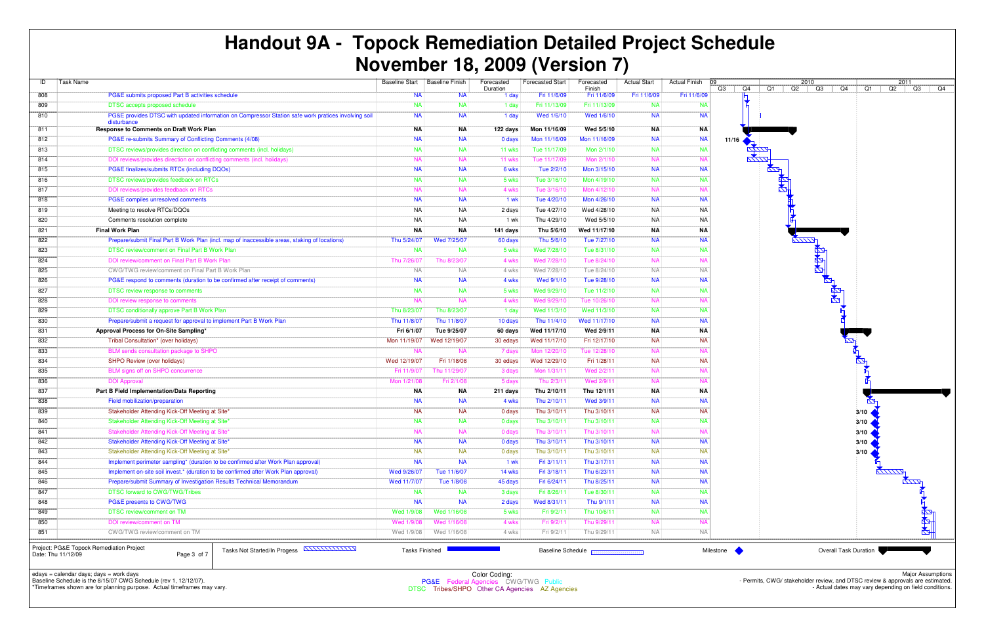| ID  | <b>Task Name</b>                                                                                                               | <b>Baseline Start</b> | <b>Baseline Finish</b> | Forecasted        | <b>Forecasted Start</b> | Forecasted                                                    | <b>Actual Start</b> | <b>Actual Finish</b> | ng        |          | 2010        |                              |
|-----|--------------------------------------------------------------------------------------------------------------------------------|-----------------------|------------------------|-------------------|-------------------------|---------------------------------------------------------------|---------------------|----------------------|-----------|----------|-------------|------------------------------|
| 808 | PG&E submits proposed Part B activities schedule                                                                               | <b>NA</b>             | NA                     | Duration<br>1 day | Fri 11/6/09             | Finish<br>Fri 11/6/09                                         | Fri 11/6/09         | Fri 11/6/09          | Q3<br>Q4  | Q1<br>Q2 | Q3          | Q4<br>Q1                     |
| 809 | <b>DTSC</b> accepts proposed schedule                                                                                          | <b>NA</b>             | <b>NA</b>              | 1 day             | Fri 11/13/09            | Fri 11/13/09                                                  | <b>NA</b>           | <b>NA</b>            |           |          |             |                              |
| 810 | PG&E provides DTSC with updated information on Compressor Station safe work pratices involving soil<br>disturbance             | <b>NA</b>             | <b>NA</b>              | 1 day             | Wed 1/6/10              | Wed 1/6/10                                                    | <b>NA</b>           | <b>NA</b>            |           |          |             |                              |
| 811 | <b>Response to Comments on Draft Work Plan</b>                                                                                 | ΝA                    | <b>NA</b>              | 122 days          | Mon 11/16/09            | Wed 5/5/10                                                    | <b>NA</b>           | <b>NA</b>            |           |          |             |                              |
| 812 | PG&E re-submits Summary of Conflicting Comments (4/08)                                                                         | <b>NA</b>             | <b>NA</b>              | 0 days            | Mon 11/16/09            | Mon 11/16/09                                                  | <b>NA</b>           | <b>NA</b>            | 11/16     |          |             |                              |
| 813 | DTSC reviews/provides direction on conflicting comments (incl. holidays)                                                       | <b>NA</b>             | <b>NA</b>              | 11 wks            | Tue 11/17/09            | Mon 2/1/10                                                    | <b>NA</b>           | <b>NA</b>            |           |          |             |                              |
| 814 | DOI reviews/provides direction on conflicting comments (incl. holidays)                                                        | <b>NA</b>             | <b>NA</b>              | 11 wks            | Tue 11/17/09            | Mon 2/1/10                                                    | <b>NA</b>           | <b>NA</b>            |           |          |             |                              |
| 815 | PG&E finalizes/submits RTCs (including DQOs)                                                                                   | <b>NA</b>             | <b>NA</b>              | 6 wks             | Tue 2/2/10              | Mon 3/15/10                                                   | <b>NA</b>           | <b>NA</b>            |           | $\sum$   |             |                              |
| 816 | DTSC reviews/provides feedback on RTCs                                                                                         | <b>NA</b>             | <b>NA</b>              | 5 wks             | Tue 3/16/10             | Mon 4/19/10                                                   | <b>NA</b>           | <b>NA</b>            |           |          |             |                              |
| 817 | DOI reviews/provides feedback on RTCs                                                                                          | <b>NA</b>             | <b>NA</b>              | 4 wks             | Tue 3/16/10             | Mon 4/12/10                                                   | <b>NA</b>           | N.                   |           |          |             |                              |
| 818 | PG&E compiles unresolved comments                                                                                              | <b>NA</b>             | <b>NA</b>              | 1 wk              | Tue 4/20/10             | Mon 4/26/10                                                   | <b>NA</b>           | <b>NA</b>            |           |          |             |                              |
| 819 | Meeting to resolve RTCs/DQOs                                                                                                   | <b>NA</b>             | <b>NA</b>              | 2 days            | Tue 4/27/10             | Wed 4/28/10                                                   | <b>NA</b>           | <b>NA</b>            |           |          |             |                              |
| 820 | Comments resolution complete                                                                                                   | <b>NA</b>             | <b>NA</b>              | 1 wk              | Thu 4/29/10             | Wed 5/5/10                                                    | <b>NA</b>           | <b>NA</b>            |           |          |             |                              |
| 821 | <b>Final Work Plan</b>                                                                                                         | ΝA                    | ΝA                     | 141 days          | Thu 5/6/10              | Wed 11/17/10                                                  | <b>NA</b>           | ΝA                   |           |          |             |                              |
| 822 | Prepare/submit Final Part B Work Plan (incl. map of inaccessible areas, staking of locations)                                  | Thu 5/24/07           | Wed 7/25/07            | 60 days           | Thu 5/6/10              | Tue 7/27/10                                                   | <b>NA</b>           | <b>NA</b>            |           |          |             |                              |
| 823 | DTSC review/comment on Final Part B Work Plan                                                                                  | <b>NA</b>             | <b>NA</b>              | 5 wks             | Wed 7/28/10             | Tue 8/31/10                                                   | <b>NA</b>           | <b>NA</b>            |           |          |             |                              |
| 824 | DOI review/comment on Final Part B Work Plan                                                                                   | Thu 7/26/07           | Thu 8/23/07            | 4 wks             | Wed 7/28/10             | Tue 8/24/10                                                   | <b>NA</b>           | N.                   |           |          | <b>RAAR</b> |                              |
| 825 | CWG/TWG review/comment on Final Part B Work Plan                                                                               | <b>NA</b>             | <b>NA</b>              | 4 wks             | Wed 7/28/10             | Tue 8/24/10                                                   | <b>NA</b>           | <b>NA</b>            |           |          |             |                              |
| 826 | PG&E respond to comments (duration to be confirmed after receipt of comments)                                                  | <b>NA</b>             | <b>NA</b>              | 4 wks             | Wed 9/1/10              | Tue 9/28/10                                                   | <b>NA</b>           | <b>NA</b>            |           |          |             |                              |
| 827 | DTSC review response to comments                                                                                               | <b>NA</b>             | <b>NA</b>              | 5 wks             | Wed 9/29/10             | Tue 11/2/10                                                   | <b>NA</b>           | <b>NA</b>            |           |          |             |                              |
| 828 | DOI review response to comments                                                                                                | <b>NA</b>             | <b>NA</b>              | 4 wks             | Wed 9/29/10             | Tue 10/26/10                                                  | <b>NA</b>           | N.                   |           |          |             |                              |
| 829 | DTSC conditionally approve Part B Work Plan                                                                                    | Thu 8/23/07           | Thu 8/23/07            | 1 day             | Wed 11/3/10             | Wed 11/3/10                                                   | <b>NA</b>           | <b>NA</b>            |           |          |             |                              |
| 830 | Prepare/submit a request for approval to implement Part B Work Plan                                                            | Thu 11/8/07           | Thu 11/8/07            | 10 days           | Thu 11/4/10             | Wed 11/17/10                                                  | <b>NA</b>           | <b>NA</b>            |           |          |             |                              |
| 831 | Approval Process for On-Site Sampling*                                                                                         | Fri 6/1/07            | Tue 9/25/07            | 60 days           | Wed 11/17/10            | Wed 2/9/11                                                    | <b>NA</b>           | <b>NA</b>            |           |          |             |                              |
| 832 | Tribal Consultation* (over holidays)                                                                                           | Mon 11/19/07          | Wed 12/19/07           | 30 edays          | Wed 11/17/10            | Fri 12/17/10                                                  | <b>NA</b>           | <b>NA</b>            |           |          |             |                              |
| 833 | BLM sends consultation package to SHPO                                                                                         | <b>NA</b>             | <b>NA</b>              | 7 days            | Mon 12/20/10            | Tue 12/28/10                                                  | <b>NA</b>           | N/                   |           |          |             |                              |
| 834 | SHPO Review (over holidays)                                                                                                    | Wed 12/19/07          | Fri 1/18/08            | 30 edays          | Wed 12/29/10            | Fri 1/28/11                                                   | <b>NA</b>           | <b>NA</b>            |           |          |             |                              |
| 835 | BLM signs off on SHPO concurrence                                                                                              | Fri 11/9/07           | Thu 11/29/07           | 3 days            | Mon 1/31/11             | Wed 2/2/11                                                    | <b>NA</b>           | N.                   |           |          |             |                              |
| 836 | <b>DOI Approval</b>                                                                                                            | Mon 1/21/08           | Fri 2/1/08             | 5 days            | Thu 2/3/1               | Wed 2/9/11                                                    | <b>NA</b>           | N                    |           |          |             |                              |
| 837 | Part B Field Implementation/Data Reporting                                                                                     | ΝA                    | NA                     | 211 days          | Thu 2/10/11             | Thu 12/1/11                                                   | <b>NA</b>           | <b>NA</b>            |           |          |             |                              |
| 838 | Field mobilization/preparation                                                                                                 | <b>NA</b>             | <b>NA</b>              | 4 wks             | Thu 2/10/11             | Wed 3/9/11                                                    | <b>NA</b>           | <b>NA</b>            |           |          |             |                              |
| 839 | Stakeholder Attending Kick-Off Meeting at Site*                                                                                | <b>NA</b>             | <b>NA</b>              | 0 days            | Thu 3/10/11             | Thu 3/10/11                                                   | <b>NA</b>           | <b>NA</b>            |           |          |             | 3/10                         |
| 840 | Stakeholder Attending Kick-Off Meeting at Site*                                                                                | <b>NA</b>             | <b>NA</b>              | 0 days            | Thu 3/10/11             | Thu 3/10/11                                                   | <b>NA</b>           | <b>NA</b>            |           |          |             | 3/10                         |
| 841 | Stakeholder Attending Kick-Off Meeting at Site*                                                                                | <b>NA</b>             | <b>NA</b>              | 0 days            | Thu 3/10/11             | Thu 3/10/11                                                   | <b>NA</b>           | <b>NA</b>            |           |          |             | 3/10                         |
| 842 | Stakeholder Attending Kick-Off Meeting at Site*                                                                                | <b>NA</b>             | <b>NA</b>              | 0 days            | Thu 3/10/11             | Thu 3/10/11                                                   | <b>NA</b>           | <b>NA</b>            |           |          |             | 3/10                         |
| 843 | Stakeholder Attending Kick-Off Meeting at Site*                                                                                | <b>NA</b>             | <b>NA</b>              | 0 days            | Thu 3/10/11             | Thu 3/10/11                                                   | <b>NA</b>           | <b>NA</b>            |           |          |             | 3/10                         |
| 844 | Implement perimeter sampling* (duration to be confirmed after Work Plan approval)                                              | <b>NA</b>             | <b>NA</b>              | 1 wk              | Fri 3/11/11             | Thu 3/17/11                                                   | <b>NA</b>           | <b>NA</b>            |           |          |             |                              |
| 845 | Implement on-site soil invest.* (duration to be confirmed after Work Plan approval)                                            | Wed 9/26/07           | Tue 11/6/07            | 14 wks            | Fri 3/18/11             | Thu 6/23/11                                                   | <b>NA</b>           | <b>NA</b>            |           |          |             |                              |
| 846 | Prepare/submit Summary of Investigation Results Technical Memorandum                                                           | Wed 11/7/07           | Tue 1/8/08             | 45 days           | Fri 6/24/11             | Thu 8/25/11                                                   | <b>NA</b>           | <b>NA</b>            |           |          |             |                              |
| 847 | <b>DTSC forward to CWG/TWG/Tribes</b>                                                                                          | <b>NA</b>             | <b>NA</b>              | 3 days            | Fri 8/26/11             | Tue 8/30/11                                                   | <b>NA</b>           | <b>NA</b>            |           |          |             |                              |
| 848 | PG&E presents to CWG/TWG                                                                                                       | <b>NA</b>             | <b>NA</b>              | 2 days            | Wed 8/31/11             | Thu 9/1/11                                                    | <b>NA</b>           | <b>NA</b>            |           |          |             |                              |
| 849 | DTSC review/comment on TM                                                                                                      | Wed 1/9/08            | Wed 1/16/08            | 5 wks             | Fri 9/2/11              | Thu 10/6/11                                                   | <b>NA</b>           | <b>NA</b>            |           |          |             |                              |
| 850 | DOI review/comment on TM                                                                                                       | Wed 1/9/08            | Wed 1/16/08            | 4 wks             | Fri 9/2/11              | Thu 9/29/11                                                   | <b>NA</b>           | <b>NA</b>            |           |          |             |                              |
| 851 | CWG/TWG review/comment on TM                                                                                                   | Wed 1/9/08            | Wed 1/16/08            | 4 wks             | Fri 9/2/11              | Thu 9/29/11                                                   | <b>NA</b>           | <b>NA</b>            |           |          |             |                              |
|     | Project: PG&E Topock Remediation Project<br>Tasks Not Started/In Progess <b>ANNULLIAN</b><br>Date: Thu 11/12/09<br>Page 3 of 7 |                       | <b>Tasks Finished</b>  |                   |                         | Baseline Schedule <b>Base Constanting Contact Constanting</b> |                     |                      | Milestone |          |             | <b>Overall Task Duration</b> |

edays = calendar days; days = work days Baseline Schedule is the 8/15/07 CWG Schedule (rev 1, 12/12/07).



\*Timeframes shown are for planning purpose. Actual timeframes may vary.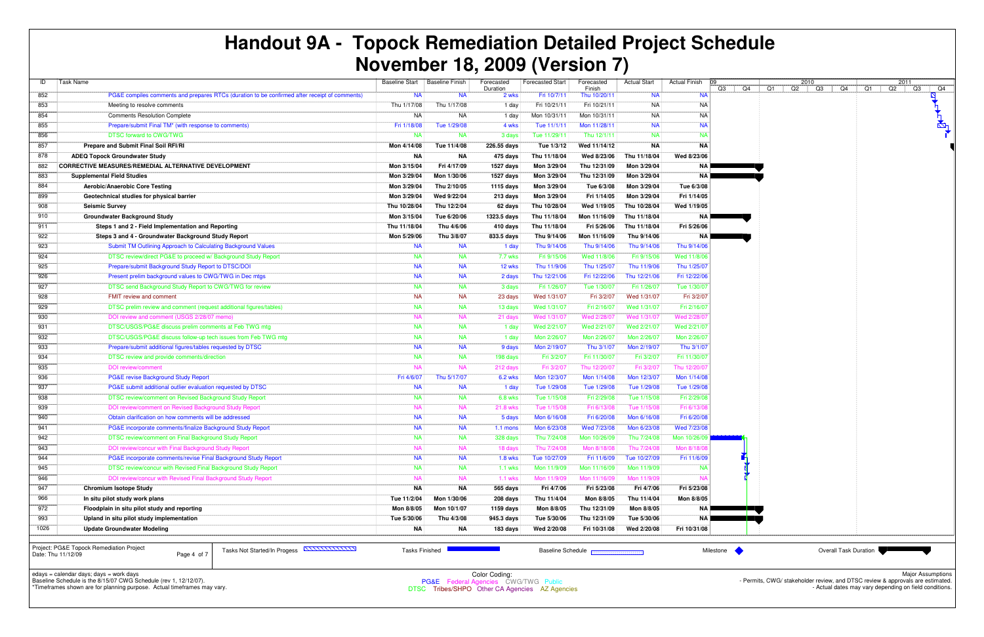| ID   | Task Name                                                                                     | <b>Baseline Start</b> | <b>Baseline Finish</b> | Forecasted<br>Duration | <b>Forecasted Start</b> | Forecasted<br>Finish | <b>Actual Start</b> | <b>Actual Finish</b> | 09<br>C.         |
|------|-----------------------------------------------------------------------------------------------|-----------------------|------------------------|------------------------|-------------------------|----------------------|---------------------|----------------------|------------------|
| 852  | PG&E compiles comments and prepares RTCs (duration to be confirmed after receipt of comments) | <b>NA</b>             | <b>NA</b>              | 2 wks                  | Fri 10/7/11             | Thu 10/20/11         | <b>NA</b>           | <b>NA</b>            |                  |
| 853  | Meeting to resolve comments                                                                   | Thu 1/17/08           | Thu 1/17/08            | 1 day                  | Fri 10/21/11            | Fri 10/21/11         | NA                  | <b>NA</b>            |                  |
| 854  | <b>Comments Resolution Complete</b>                                                           | NA                    | <b>NA</b>              | 1 day                  | Mon 10/31/11            | Mon 10/31/11         | NA                  | <b>NA</b>            |                  |
| 855  | Prepare/submit Final TM* (with response to comments)                                          | Fri 1/18/08           | Tue 1/29/08            | 4 wks                  | Tue 11/1/11             | Mon 11/28/11         | <b>NA</b>           | <b>NA</b>            |                  |
| 856  | <b>DTSC forward to CWG/TWG</b>                                                                | <b>NA</b>             | <b>NA</b>              | 3 days                 | Tue 11/29/11            | Thu 12/1/11          | <b>NA</b>           | <b>NA</b>            |                  |
| 857  | Prepare and Submit Final Soil RFI/RI                                                          | Mon 4/14/08           | Tue 11/4/08            | 226.55 days            | Tue 1/3/12              | Wed 11/14/12         | <b>NA</b>           | <b>NA</b>            |                  |
| 878  | <b>ADEQ Topock Groundwater Study</b>                                                          | ΝA                    | ΝA                     | 475 days               | Thu 11/18/04            | Wed 8/23/06          | Thu 11/18/04        | Wed 8/23/06          |                  |
| 882  | <b>CORRECTIVE MEASURES/REMEDIAL ALTERNATIVE DEVELOPMENT</b>                                   | Mon 3/15/04           | Fri 4/17/09            | 1527 days              | Mon 3/29/04             | Thu 12/31/09         | Mon 3/29/04         | NA I                 |                  |
| 883  | <b>Supplemental Field Studies</b>                                                             | Mon 3/29/04           | Mon 1/30/06            | 1527 days              | Mon 3/29/04             | Thu 12/31/09         | Mon 3/29/04         |                      | NA <b>Letter</b> |
| 884  | Aerobic/Anaerobic Core Testing                                                                | Mon 3/29/04           | Thu 2/10/05            | 1115 days              | Mon 3/29/04             | Tue 6/3/08           | Mon 3/29/04         | Tue 6/3/08           |                  |
| 899  | Geotechnical studies for physical barrier                                                     | Mon 3/29/04           | Wed 9/22/04            | 213 days               | Mon 3/29/04             | Fri 1/14/05          | Mon 3/29/04         | Fri 1/14/05          |                  |
| 908  | <b>Seismic Survey</b>                                                                         | Thu 10/28/04          | Thu 12/2/04            | 62 days                | Thu 10/28/04            | Wed 1/19/05          | Thu 10/28/04        | Wed 1/19/05          |                  |
| 910  | <b>Groundwater Background Study</b>                                                           | Mon 3/15/04           | Tue 6/20/06            | 1323.5 days            | Thu 11/18/04            | Mon 11/16/09         | Thu 11/18/04        | NA                   |                  |
| 911  | Steps 1 and 2 - Field Implementation and Reporting                                            | Thu 11/18/04          | Thu 4/6/06             | 410 days               | Thu 11/18/04            | Fri 5/26/06          | Thu 11/18/04        | Fri 5/26/06          |                  |
| 922  | Steps 3 and 4 - Groundwater Background Study Report                                           | Mon 5/29/06           | Thu 3/8/07             | 833.5 days             | Thu 9/14/06             | Mon 11/16/09         | Thu 9/14/06         | NA <b>Let</b>        |                  |
| 923  | Submit TM Outlining Approach to Calculating Background Values                                 | <b>NA</b>             | <b>NA</b>              | 1 day                  | Thu 9/14/06             | Thu 9/14/06          | Thu 9/14/06         | Thu 9/14/06          |                  |
| 924  | DTSC review/direct PG&E to proceed w/ Background Study Report                                 | <b>NA</b>             | <b>NA</b>              | 7.7 wks                | Fri 9/15/06             | Wed 11/8/06          | Fri 9/15/06         | Wed 11/8/06          |                  |
| 925  | Prepare/submit Background Study Report to DTSC/DOI                                            | <b>NA</b>             | <b>NA</b>              | 12 wks                 | Thu 11/9/06             | Thu 1/25/07          | Thu 11/9/06         | Thu 1/25/07          |                  |
| 926  | Present prelim background values to CWG/TWG in Dec mtgs                                       | <b>NA</b>             | <b>NA</b>              | 2 days                 | Thu 12/21/06            | Fri 12/22/06         | Thu 12/21/06        | Fri 12/22/06         |                  |
| 927  | DTSC send Background Study Report to CWG/TWG for review                                       | <b>NA</b>             | <b>NA</b>              | 3 days                 | Fri 1/26/07             | Tue 1/30/07          | Fri 1/26/07         | Tue 1/30/07          |                  |
| 928  | FMIT review and comment                                                                       | <b>NA</b>             | <b>NA</b>              | 23 days                | Wed 1/31/07             | Fri 3/2/07           | Wed 1/31/07         | Fri 3/2/07           |                  |
| 929  | DTSC prelim review and comment (request additional figures/tables)                            | <b>NA</b>             | <b>NA</b>              | 13 days                | Wed 1/31/07             | Fri 2/16/07          | Wed 1/31/07         | Fri 2/16/07          |                  |
| 930  | DOI review and comment (USGS 2/28/07 memo)                                                    | <b>NA</b>             | <b>NA</b>              | 21 days                | Wed 1/31/07             | Wed 2/28/07          | Wed 1/31/07         | Wed 2/28/07          |                  |
| 931  | DTSC/USGS/PG&E discuss prelim comments at Feb TWG mtg                                         | <b>NA</b>             | <b>NA</b>              | 1 day                  | Wed 2/21/07             | Wed 2/21/07          | Wed 2/21/07         | Wed 2/21/07          |                  |
| 932  | DTSC/USGS/PG&E discuss follow-up tech issues from Feb TWG mtg                                 | <b>NA</b>             | <b>NA</b>              | 1 day                  | Mon 2/26/07             | Mon 2/26/07          | Mon 2/26/07         | Mon 2/26/07          |                  |
| 933  | Prepare/submit additional figures/tables requested by DTSC                                    | <b>NA</b>             | <b>NA</b>              | 9 days                 | Mon 2/19/07             | Thu 3/1/07           | Mon 2/19/07         | Thu 3/1/07           |                  |
| 934  | DTSC review and provide comments/direction                                                    | <b>NA</b>             | <b>NA</b>              | 198 days               | Fri 3/2/07              | Fri 11/30/07         | Fri 3/2/07          | Fri 11/30/07         |                  |
| 935  | <b>DOI</b> review/comment                                                                     | <b>NA</b>             | <b>NA</b>              | 212 days               | Fri 3/2/07              | Thu 12/20/07         | Fri 3/2/07          | Thu 12/20/07         |                  |
| 936  | PG&E revise Background Study Report                                                           | Fri 4/6/07            | Thu 5/17/07            | <b>6.2 wks</b>         | Mon 12/3/07             | Mon 1/14/08          | Mon 12/3/07         | Mon 1/14/08          |                  |
| 937  | PG&E submit additional outlier evaluation requested by DTSC                                   | <b>NA</b>             | <b>NA</b>              | 1 day                  | Tue 1/29/08             | Tue 1/29/08          | Tue 1/29/08         | Tue 1/29/08          |                  |
| 938  | DTSC review/comment on Revised Background Study Report                                        | <b>NA</b>             | <b>NA</b>              | 6.8 wks                | Tue 1/15/08             | Fri 2/29/08          | Tue 1/15/08         | Fri 2/29/08          |                  |
| 939  | DOI review/comment on Revised Background Study Report                                         | <b>NA</b>             | <b>NA</b>              | 21.8 wks               | Tue 1/15/08             | Fri 6/13/08          | Tue 1/15/08         | Fri 6/13/08          |                  |
| 940  | Obtain clarification on how comments will be addressed                                        | <b>NA</b>             | <b>NA</b>              | 5 days                 | Mon 6/16/08             | Fri 6/20/08          | Mon 6/16/08         | Fri 6/20/08          |                  |
| 941  | PG&E incorporate comments/finalize Background Study Report                                    | <b>NA</b>             | <b>NA</b>              | $1.1$ mons             | Mon 6/23/08             | Wed 7/23/08          | Mon 6/23/08         | Wed 7/23/08          |                  |
| 942  | DTSC review/comment on Final Background Study Report                                          | <b>NA</b>             | <b>NA</b>              | 328 days               | Thu 7/24/08             | Mon 10/26/09         | Thu 7/24/08         | Mon 10/26/09         |                  |
| 943  | DOI review/concur with Final Background Study Report                                          | <b>NA</b>             | <b>NA</b>              | 18 days                | Thu 7/24/08             | Mon 8/18/08          | Thu 7/24/08         | Mon 8/18/08          |                  |
| 944  | PG&E incorporate comments/revise Final Background Study Report                                | <b>NA</b>             | <b>NA</b>              | <b>1.8 wks</b>         | Tue 10/27/09            | Fri 11/6/09          | Tue 10/27/09        | Fri 11/6/09          |                  |
| 945  | DTSC review/concur with Revised Final Background Study Report                                 | <b>NA</b>             | <b>NA</b>              | $1.1$ wks              | Mon 11/9/09             | Mon 11/16/09         | Mon 11/9/09         | <b>NA</b>            |                  |
| 946  | DOI review/concur with Revised Final Background Study Report                                  | <b>NA</b>             | <b>NA</b>              | $1.1$ wks              | Mon 11/9/09             | Mon 11/16/09         | Mon 11/9/09         | <b>NA</b>            |                  |
| 947  | <b>Chromium Isotope Study</b>                                                                 | ΝA                    | ΝA                     | 565 days               | Fri 4/7/06              | Fri 5/23/08          | Fri 4/7/06          | Fri 5/23/08          |                  |
| 966  | In situ pilot study work plans                                                                | Tue 11/2/04           | Mon 1/30/06            | 208 days               | Thu 11/4/04             | Mon 8/8/05           | Thu 11/4/04         | Mon 8/8/05           |                  |
| 972  | Floodplain in situ pilot study and reporting                                                  | Mon 8/8/05            | Mon 10/1/07            | 1159 days              | Mon 8/8/05              | Thu 12/31/09         | Mon 8/8/05          | NA I                 |                  |
| 993  | Upland in situ pilot study implementation                                                     | Tue 5/30/06           | Thu 4/3/08             | 945.3 days             | Tue 5/30/06             | Thu 12/31/09         | Tue 5/30/06         |                      | NA <b>Letter</b> |
| 1026 | <b>Update Groundwater Modeling</b>                                                            | NA                    | NA                     | 183 days               | Wed 2/20/08             | Fri 10/31/08         | Wed 2/20/08         | Fri 10/31/08         |                  |
|      |                                                                                               |                       |                        |                        |                         |                      |                     |                      |                  |

edays = calendar days; days = work days Baseline Schedule is the 8/15/07 CWG Schedule (rev 1, 12/12/07).



\*Timeframes shown are for planning purpose. Actual timeframes may vary.



Project: PG&E Topock Remediation ProjectDate: Thu 11/12/09

Page 4 of 7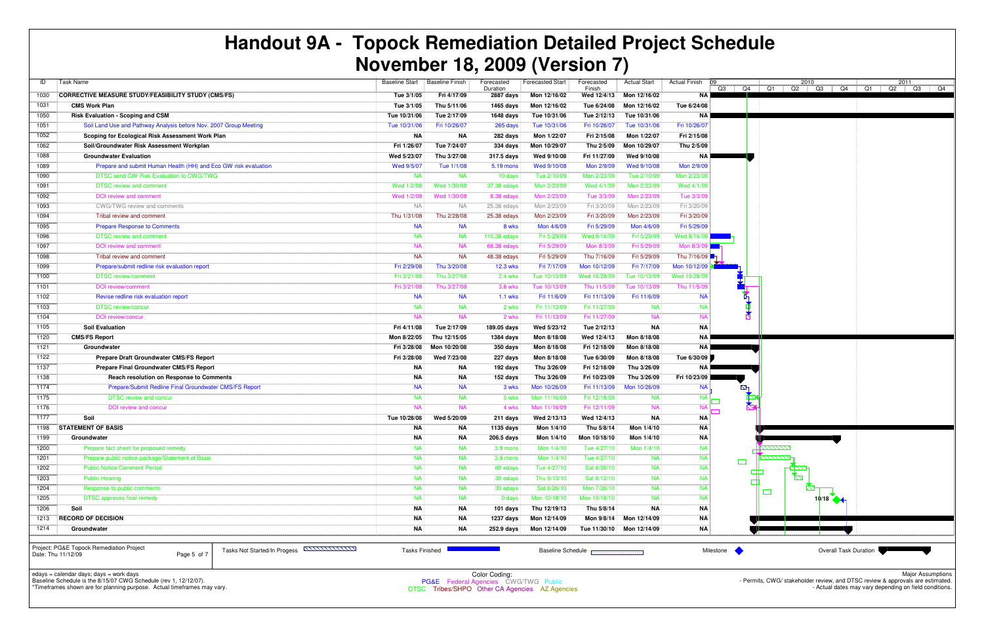| ID                 | Task Name                                                                                                    | <b>Baseline Start</b> | <b>Baseline Finish</b> | Forecasted            | <b>Forecasted Start</b> | Forecasted                                                                                                                                                                                                                           | <b>Actual Start</b> | <b>Actual Finish</b><br> 09 |            |                 | 2010                             |                              |
|--------------------|--------------------------------------------------------------------------------------------------------------|-----------------------|------------------------|-----------------------|-------------------------|--------------------------------------------------------------------------------------------------------------------------------------------------------------------------------------------------------------------------------------|---------------------|-----------------------------|------------|-----------------|----------------------------------|------------------------------|
| 1030               | <b>CORRECTIVE MEASURE STUDY/FEASIBILITY STUDY (CMS/FS)</b>                                                   | Tue 3/1/05            | Fri 4/17/09            | Duration<br>2887 days | Mon 12/16/02            | Finish<br>Wed 12/4/13                                                                                                                                                                                                                | Mon 12/16/02        | <b>NA</b>                   |            |                 | Q3   Q4   Q1   Q2   Q3   Q4   Q1 |                              |
| 1031               | <b>CMS Work Plan</b>                                                                                         | Tue 3/1/05            | Thu 5/11/06            | 1465 days             | Mon 12/16/02            | Tue 6/24/08                                                                                                                                                                                                                          | Mon 12/16/02        | Tue 6/24/08                 |            |                 |                                  |                              |
| 1050               | <b>Risk Evaluation - Scoping and CSM</b>                                                                     | Tue 10/31/06          | Tue 2/17/09            | 1648 days             | Tue 10/31/06            | Tue 2/12/13                                                                                                                                                                                                                          | Tue 10/31/06        | NA I                        |            |                 |                                  |                              |
| 1051               | Soil Land Use and Pathway Analysis before Nov. 2007 Group Meeting                                            | Tue 10/31/06          | Fri 10/26/07           | 265 days              | Tue 10/31/06            | Fri 10/26/07                                                                                                                                                                                                                         | Tue 10/31/06        | Fri 10/26/07                |            |                 |                                  |                              |
| 1052               | Scoping for Ecological Risk Assessment Work Plan                                                             | <b>NA</b>             | ΝA                     | 282 days              | Mon 1/22/07             | Fri 2/15/08                                                                                                                                                                                                                          | Mon 1/22/07         | Fri 2/15/08                 |            |                 |                                  |                              |
| 1062               | Soil/Groundwater Risk Assessment Workplan                                                                    | Fri 1/26/07           | Tue 7/24/07            | 334 days              | Mon 10/29/07            | Thu 2/5/09                                                                                                                                                                                                                           | Mon 10/29/07        | Thu 2/5/09                  |            |                 |                                  |                              |
| 1088               | <b>Groundwater Evaluation</b>                                                                                | Wed 5/23/07           | Thu 3/27/08            | 317.5 days            | Wed 9/10/08             | Fri 11/27/09                                                                                                                                                                                                                         | Wed 9/10/08         | NA                          |            |                 |                                  |                              |
| 1089               | Prepare and submit Human Health (HH) and Eco GW risk evaluation                                              | Wed 9/5/07            | Tue 1/1/08             | 5.19 mons             | Wed 9/10/08             | Mon 2/9/09                                                                                                                                                                                                                           | Wed 9/10/08         | Mon 2/9/09                  |            |                 |                                  |                              |
| 1090               | DTSC send GW Risk Evaluation to CWG/TWG                                                                      | <b>NA</b>             | <b>NA</b>              | 10 days               | Tue 2/10/09             | Mon 2/23/09                                                                                                                                                                                                                          | Tue 2/10/09         | Mon 2/23/09                 |            |                 |                                  |                              |
| 1091               | <b>DTSC</b> review and comment                                                                               | Wed 1/2/08            | Wed 1/30/08            | 37.38 edays           | Mon 2/23/09             | Wed 4/1/09                                                                                                                                                                                                                           | Mon 2/23/09         | Wed 4/1/09                  |            |                 |                                  |                              |
| 1092               | DOI review and comment                                                                                       | Wed 1/2/08            | Wed 1/30/08            | 8.38 edays            | Mon 2/23/09             | Tue 3/3/09                                                                                                                                                                                                                           | Mon 2/23/09         | Tue 3/3/09                  |            |                 |                                  |                              |
| 1093               | CWG/TWG review and comments                                                                                  | <b>NA</b>             | <b>NA</b>              | 25.38 edays           | Mon 2/23/09             | Fri 3/20/09                                                                                                                                                                                                                          | Mon 2/23/09         | Fri 3/20/09                 |            |                 |                                  |                              |
| 1094               | Tribal review and comment                                                                                    | Thu 1/31/08           | Thu 2/28/08            | 25.38 edays           | Mon 2/23/09             | Fri 3/20/09                                                                                                                                                                                                                          | Mon 2/23/09         | Fri 3/20/09                 |            |                 |                                  |                              |
| 1095               | <b>Prepare Response to Comments</b>                                                                          | <b>NA</b>             | <b>NA</b>              | 8 wks                 | Mon 4/6/09              | Fri 5/29/09                                                                                                                                                                                                                          | Mon 4/6/09          | Fri 5/29/09                 |            |                 |                                  |                              |
| 1096               | <b>DTSC review and comment</b>                                                                               | <b>NA</b>             | <b>NA</b>              | 110.38 edays          | Fri 5/29/09             | Wed 9/16/09                                                                                                                                                                                                                          | Fri 5/29/09         | Wed 9/16/09                 |            |                 |                                  |                              |
| 1097               | DOI review and comment                                                                                       | <b>NA</b>             | <b>NA</b>              | 66.38 edays           | Fri 5/29/09             | Mon 8/3/09                                                                                                                                                                                                                           | Fri 5/29/09         | Mon 8/3/0                   |            |                 |                                  |                              |
| 1098               | Tribal review and comment                                                                                    | <b>NA</b>             | <b>NA</b>              | 48.38 edays           | Fri 5/29/09             | Thu 7/16/09                                                                                                                                                                                                                          | Fri 5/29/09         | Thu 7/16/09                 |            |                 |                                  |                              |
| 1099               | Prepare/submit redline risk evaluation report                                                                | Fri 2/29/08           | Thu 3/20/08            | <b>12.3 wks</b>       | Fri 7/17/09             | Mon 10/12/09                                                                                                                                                                                                                         | Fri 7/17/09         | Mon 10/12/09                |            |                 |                                  |                              |
| 1100               | <b>DTSC</b> review/comment                                                                                   | Fri 3/21/08           | Thu 3/27/08            | 2.4 wks               | Tue 10/13/09            | Wed 10/28/09                                                                                                                                                                                                                         | Tue 10/13/09        | Wed 10/28/09                |            |                 |                                  |                              |
| 1101               | <b>DOI</b> review/comment                                                                                    | Fri 3/21/08           | Thu 3/27/08            | 3.6 wks               | Tue 10/13/09            | Thu 11/5/09                                                                                                                                                                                                                          | Tue 10/13/09        | Thu 11/5/09                 |            |                 |                                  |                              |
| 1102               | Revise redline risk evaluation report                                                                        | <b>NA</b>             | <b>NA</b>              | <b>1.1 wks</b>        | Fri 11/6/09             | Fri 11/13/09                                                                                                                                                                                                                         | Fri 11/6/09         | <b>NA</b>                   | ╚┱         |                 |                                  |                              |
| 1103               | <b>DTSC review/concur</b>                                                                                    | <b>NA</b>             | <b>NA</b>              | 2 wks                 | Fri 11/13/09            | Fri 11/27/09                                                                                                                                                                                                                         | <b>NA</b>           | <b>NA</b>                   |            |                 |                                  |                              |
| 1104               | <b>DOI</b> review/concur                                                                                     | <b>NA</b>             | <b>NA</b>              | 2 wks                 | Fri 11/13/09            | Fri 11/27/09                                                                                                                                                                                                                         | <b>NA</b>           | N/                          |            |                 |                                  |                              |
| 1105               | <b>Soil Evaluation</b>                                                                                       | Fri 4/11/08           | Tue 2/17/09            | 189.05 days           | Wed 5/23/12             | Tue 2/12/13                                                                                                                                                                                                                          | <b>NA</b>           | <b>NA</b>                   |            |                 |                                  |                              |
| 1120               | <b>CMS/FS Report</b>                                                                                         | Mon 8/22/05           | Thu 12/15/05           | 1384 days             | Mon 8/18/08             | Wed 12/4/13                                                                                                                                                                                                                          | Mon 8/18/08         | ΝA                          |            |                 |                                  |                              |
| 1121               | Groundwater                                                                                                  | Fri 3/28/08           | Mon 10/20/08           | 350 days              | Mon 8/18/08             | Fri 12/18/09                                                                                                                                                                                                                         | Mon 8/18/08         | <b>NA</b>                   |            |                 |                                  |                              |
| 1122               | Prepare Draft Groundwater CMS/FS Report                                                                      | Fri 3/28/08           | Wed 7/23/08            | 227 days              | Mon 8/18/08             | Tue 6/30/09                                                                                                                                                                                                                          | Mon 8/18/08         | Tue 6/30/09                 |            |                 |                                  |                              |
| 1137               | <b>Prepare Final Groundwater CMS/FS Report</b>                                                               | <b>NA</b>             | ΝA                     | 192 days              | Thu 3/26/09             | Fri 12/18/09                                                                                                                                                                                                                         | Thu 3/26/09         | NA I                        |            |                 |                                  |                              |
| 1138               | Reach resolution on Response to Comments                                                                     | <b>NA</b>             | ΝA                     | 152 days              | Thu 3/26/09             | Fri 10/23/09                                                                                                                                                                                                                         | Thu 3/26/09         | Fri 10/23/09                |            |                 |                                  |                              |
| 1174               | Prepare/Submit Redline Final Groundwater CMS/FS Report                                                       | <b>NA</b>             | <b>NA</b>              | 3 wks                 | Mon 10/26/09            | Fri 11/13/09                                                                                                                                                                                                                         | Mon 10/26/09        | <b>NA</b>                   | $\Delta$   |                 |                                  |                              |
| 1175               | <b>DTSC review and concur</b>                                                                                | <b>NA</b>             | <b>NA</b>              | 5 wks                 | Mon 11/16/09            | Fri 12/18/09                                                                                                                                                                                                                         | <b>NA</b>           | <b>NA</b>                   | M          |                 |                                  |                              |
| 1176               | DOI review and concur                                                                                        | <b>NA</b>             | <b>NA</b>              | 4 wks                 | Mon 11/16/09            | Fri 12/11/09                                                                                                                                                                                                                         | <b>NA</b>           | N.                          |            |                 |                                  |                              |
| 1177               | Soil                                                                                                         | Tue 10/28/08          | Wed 5/20/09            | 211 days              | Wed 2/13/13             | Wed 12/4/13                                                                                                                                                                                                                          | ΝA                  | ΝA                          |            |                 |                                  |                              |
| 1198               | <b>STATEMENT OF BASIS</b>                                                                                    | <b>NA</b>             | NA                     | 1135 days             | Mon 1/4/10              | Thu 5/8/14                                                                                                                                                                                                                           | Mon 1/4/10          | <b>NA</b>                   |            |                 |                                  |                              |
| 1199               | Groundwater                                                                                                  | ΝA                    | <b>NA</b>              | 206.5 days            | Mon 1/4/10              | Mon 10/18/10                                                                                                                                                                                                                         | Mon 1/4/10          | ΝA                          |            |                 |                                  |                              |
| 1200               | Prepare fact sheet for proposed remedy                                                                       | <b>NA</b>             | <b>NA</b>              | 3.9 mons              | Mon 1/4/10              | Tue 4/27/10                                                                                                                                                                                                                          | Mon 1/4/10          | <b>NA</b>                   |            | <u> 7777777</u> |                                  |                              |
| 1201               | Prepare public notice package/Statement of Basis                                                             | <b>NA</b>             | <b>NA</b>              | 3.9 mons              | Mon 1/4/10              | Tue 4/27/10                                                                                                                                                                                                                          | <b>NA</b>           | <b>NA</b>                   | 欧洲         | 2777777-        |                                  |                              |
| 1202               | <b>Public Notice/Comment Period</b>                                                                          | <b>NA</b>             | <b>NA</b>              | 60 edays              | Tue 4/27/10             | Sat 6/26/10                                                                                                                                                                                                                          | <b>NA</b>           | <b>NA</b>                   |            |                 |                                  |                              |
| 1203               | <b>Public Hearing</b>                                                                                        | <b>NA</b>             | NA                     | 30 edays              | Thu 5/13/10             | Sat 6/12/10                                                                                                                                                                                                                          | <b>NA</b>           | <b>NA</b>                   | <b>FSP</b> |                 | $\varpi$                         |                              |
| 1204               | Response to public comments                                                                                  | <b>NA</b>             | <b>NA</b>              | 30 edays              | Sat 6/26/10             | Mon 7/26/10                                                                                                                                                                                                                          | <b>NA</b>           | <b>NA</b>                   |            | -88             |                                  |                              |
| 1205               | <b>DTSC</b> approves final remedy                                                                            | <b>NA</b>             | <b>NA</b>              | 0 days                | Mon 10/18/10            | Mon 10/18/10                                                                                                                                                                                                                         | <b>NA</b>           | <b>NA</b>                   |            |                 | $10/18$ $\rightarrow$            |                              |
| 1206               | Soil                                                                                                         | ΝA                    | NA                     | 101 days              | Thu 12/19/13            | Thu 5/8/14                                                                                                                                                                                                                           | ΝA                  | <b>NA</b>                   |            |                 |                                  |                              |
| 1213               | <b>RECORD OF DECISION</b>                                                                                    | NA                    | NA                     | 1237 days             | Mon 12/14/09            | Mon 9/8/14                                                                                                                                                                                                                           | Mon 12/14/09        | ΝA                          |            |                 |                                  |                              |
| 1214               | Groundwater                                                                                                  | ΝA                    | ΝA                     | 252.9 days            | Mon 12/14/09            | Tue 11/30/10                                                                                                                                                                                                                         | Mon 12/14/09        | ΝA                          |            |                 |                                  |                              |
| Date: Thu 11/12/09 | Project: PG&E Topock Remediation Project<br><b>KANANANANA</b><br>Tasks Not Started/In Progess<br>Page 5 of 7 | <b>Tasks Finished</b> |                        |                       |                         | Baseline Schedule <b>Research Contact Contact Contact Contact Contact Contact Contact Contact Contact Contact Contact Contact Contact Contact Contact Contact Contact Contact Contact Contact Contact Contact Contact Contact Co</b> |                     | Milestone                   |            |                 |                                  | <b>Overall Task Duration</b> |

edays = calendar days; days = work days Baseline Schedule is the 8/15/07 CWG Schedule (rev 1, 12/12/07).



\*Timeframes shown are for planning purpose. Actual timeframes may vary.

Page 5 of 7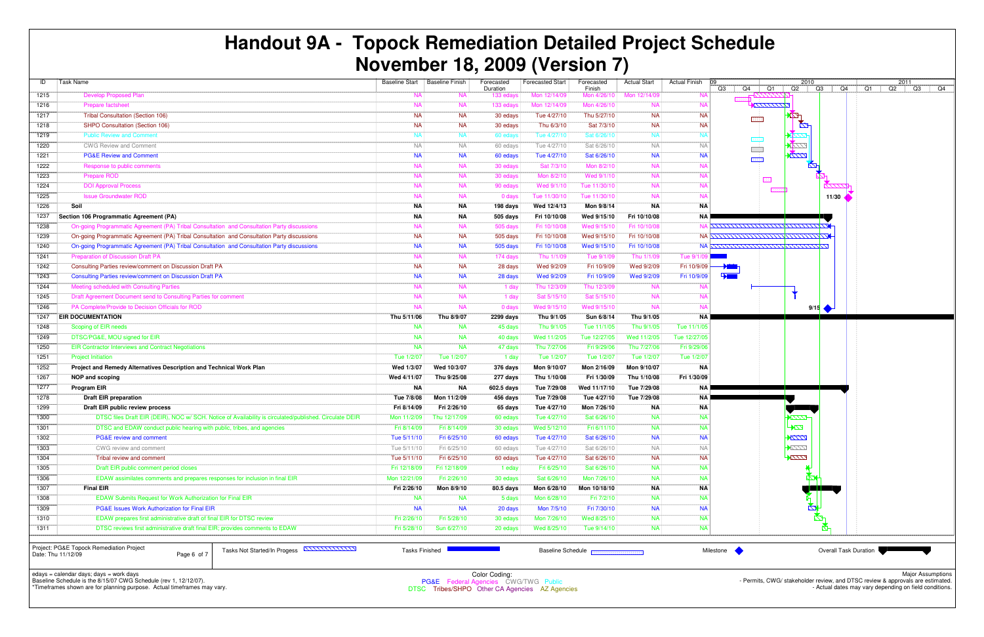| ID                                                                                                                                                                                                                                                                                                                                                                                                  | Task Name                                                                                               |              | Baseline Start   Baseline Finish | Forecasted<br>Duration | <b>Forecasted Start</b> | Forecasted<br>Finish | <b>Actual Start</b> | <b>Actual Finish</b> | 09<br>Q3<br>Q4<br>Q1                 | 2010<br>$Q2$ $Q3$ | Q4                           | Q1 |
|-----------------------------------------------------------------------------------------------------------------------------------------------------------------------------------------------------------------------------------------------------------------------------------------------------------------------------------------------------------------------------------------------------|---------------------------------------------------------------------------------------------------------|--------------|----------------------------------|------------------------|-------------------------|----------------------|---------------------|----------------------|--------------------------------------|-------------------|------------------------------|----|
| 1215                                                                                                                                                                                                                                                                                                                                                                                                | <b>Develop Proposed Plan</b>                                                                            | <b>NA</b>    | <b>NA</b>                        | 133 edays              | Mon 12/14/09            | Mon 4/26/10          | Mon 12/14/09        | <b>NA</b>            |                                      |                   |                              |    |
| 1216                                                                                                                                                                                                                                                                                                                                                                                                | Prepare factsheet                                                                                       | <b>NA</b>    | <b>NA</b>                        | 133 edays              | Mon 12/14/09            | Mon 4/26/10          | <b>NA</b>           | <b>NA</b>            | <b>KITITINA</b>                      |                   |                              |    |
| 1217                                                                                                                                                                                                                                                                                                                                                                                                | <b>Tribal Consultation (Section 106)</b>                                                                | <b>NA</b>    | <b>NA</b>                        | 30 edays               | Tue 4/27/10             | Thu 5/27/10          | <b>NA</b>           | <b>NA</b>            |                                      | $\mathbb{Z}$      |                              |    |
| 1218                                                                                                                                                                                                                                                                                                                                                                                                | SHPO Consultation (Section 106)                                                                         | <b>NA</b>    | <b>NA</b>                        | 30 edays               | Thu 6/3/10              | Sat 7/3/10           | <b>NA</b>           | <b>NA</b>            |                                      | $\mathbb{Z}^n$    |                              |    |
| 1219                                                                                                                                                                                                                                                                                                                                                                                                | <b>Public Review and Comment</b>                                                                        | <b>NA</b>    | <b>NA</b>                        |                        | Tue 4/27/10             | Sat 6/26/10          | <b>NA</b>           | <b>NA</b>            |                                      |                   |                              |    |
|                                                                                                                                                                                                                                                                                                                                                                                                     |                                                                                                         |              |                                  | 60 edays               |                         |                      |                     |                      |                                      | 2777              |                              |    |
| 1220                                                                                                                                                                                                                                                                                                                                                                                                | <b>CWG Review and Comment</b>                                                                           | <b>NA</b>    | <b>NA</b>                        | 60 edays               | Tue 4/27/10             | Sat 6/26/10          | <b>NA</b>           | <b>NA</b>            |                                      | $\frac{1}{2}$     |                              |    |
| 1221                                                                                                                                                                                                                                                                                                                                                                                                | <b>PG&amp;E Review and Comment</b>                                                                      | <b>NA</b>    | <b>NA</b>                        | 60 edays               | Tue 4/27/10             | Sat 6/26/10          | <b>NA</b>           | <b>NA</b>            |                                      |                   |                              |    |
| 1222                                                                                                                                                                                                                                                                                                                                                                                                | Response to public comments                                                                             | <b>NA</b>    | <b>NA</b>                        | 30 edays               | Sat 7/3/10              | Mon 8/2/10           | <b>NA</b>           | <b>NA</b>            |                                      | Ø                 |                              |    |
| 1223                                                                                                                                                                                                                                                                                                                                                                                                | Prepare ROD                                                                                             | <b>NA</b>    | <b>NA</b>                        | 30 edays               | Mon 8/2/10              | Wed 9/1/10           | <b>NA</b>           | <b>NA</b>            |                                      |                   |                              |    |
| 1224                                                                                                                                                                                                                                                                                                                                                                                                | <b>DOI Approval Process</b>                                                                             | <b>NA</b>    | <b>NA</b>                        | 90 edays               | Wed 9/1/10              | Tue 11/30/10         | <b>NA</b>           | <b>NA</b>            |                                      |                   |                              |    |
| $\overline{1225}$                                                                                                                                                                                                                                                                                                                                                                                   | <b>Issue Groundwater ROD</b>                                                                            | <b>NA</b>    | <b>NA</b>                        | 0 days                 | Tue 11/30/10            | Tue 11/30/10         | <b>NA</b>           | <b>NA</b>            |                                      |                   | 11/30                        |    |
| 1226                                                                                                                                                                                                                                                                                                                                                                                                | Soil                                                                                                    | <b>NA</b>    | ΝA                               | 198 days               | Wed 12/4/13             | Mon 9/8/14           | <b>NA</b>           | <b>NA</b>            |                                      |                   |                              |    |
| 1237                                                                                                                                                                                                                                                                                                                                                                                                | Section 106 Programmatic Agreement (PA)                                                                 | <b>NA</b>    | NA                               | 505 days               | Fri 10/10/08            | Wed 9/15/10          | Fri 10/10/08        | <b>NA</b>            |                                      |                   |                              |    |
| 1238                                                                                                                                                                                                                                                                                                                                                                                                | On-going Programmatic Agreement (PA) Tribal Consultation and Consultation Party discussions             | <b>NA</b>    | <b>NA</b>                        | 505 days               | Fri 10/10/08            | Wed 9/15/10          | Fri 10/10/08        |                      |                                      |                   |                              |    |
| 1239                                                                                                                                                                                                                                                                                                                                                                                                | On-going Programmatic Agreement (PA) Tribal Consultation and Consultation Party discussions             | <b>NA</b>    | <b>NA</b>                        | 505 days               | Fri 10/10/08            | Wed 9/15/10          | Fri 10/10/08        |                      | NA <u>XXXXXXXXXXXXXXXXXXXXXX</u> XXX |                   |                              |    |
| 1240                                                                                                                                                                                                                                                                                                                                                                                                | On-going Programmatic Agreement (PA) Tribal Consultation and Consultation Party discussions             | <b>NA</b>    | <b>NA</b>                        | 505 days               | Fri 10/10/08            | Wed 9/15/10          | Fri 10/10/08        |                      | NA XXXXXXXXXXXXXXXXXXXXXXX           |                   |                              |    |
| 1241                                                                                                                                                                                                                                                                                                                                                                                                | <b>Preparation of Discussion Draft PA</b>                                                               | <b>NA</b>    | <b>NA</b>                        | 174 days               | Thu 1/1/09              | Tue 9/1/09           | Thu 1/1/09          | Tue 9/1/0            |                                      |                   |                              |    |
| 1242                                                                                                                                                                                                                                                                                                                                                                                                | Consulting Parties review/comment on Discussion Draft PA                                                | <b>NA</b>    | <b>NA</b>                        | 28 days                | Wed 9/2/09              | Fri 10/9/09          | Wed 9/2/09          | Fri 10/9/09          |                                      |                   |                              |    |
| 1243                                                                                                                                                                                                                                                                                                                                                                                                | Consulting Parties review/comment on Discussion Draft PA                                                | <b>NA</b>    | <b>NA</b>                        | 28 days                | Wed 9/2/09              | Fri 10/9/09          | Wed 9/2/09          | Fri 10/9/09          |                                      |                   |                              |    |
|                                                                                                                                                                                                                                                                                                                                                                                                     |                                                                                                         | <b>NA</b>    | <b>NA</b>                        |                        |                         |                      | <b>NA</b>           | <b>NA</b>            |                                      |                   |                              |    |
| 1244                                                                                                                                                                                                                                                                                                                                                                                                | Meeting scheduled with Consulting Parties                                                               |              |                                  | 1 day                  | Thu 12/3/09             | Thu 12/3/09          |                     |                      |                                      |                   |                              |    |
| 1245                                                                                                                                                                                                                                                                                                                                                                                                | Draft Agreement Document send to Consulting Parties for comment                                         | <b>NA</b>    | <b>NA</b>                        | 1 day                  | Sat 5/15/10             | Sat 5/15/10          | <b>NA</b>           | <b>NA</b>            |                                      |                   |                              |    |
| 1246                                                                                                                                                                                                                                                                                                                                                                                                | PA Complete/Provide to Decision Officials for ROD                                                       | <b>NA</b>    | <b>NA</b>                        | 0 days                 | Wed 9/15/10             | Wed 9/15/10          | <b>NA</b>           | <b>NA</b>            |                                      | 9/15              |                              |    |
| 1247                                                                                                                                                                                                                                                                                                                                                                                                | <b>EIR DOCUMENTATION</b>                                                                                | Thu 5/11/06  | Thu 8/9/07                       | 2299 days              | Thu 9/1/05              | Sun 6/8/14           | Thu 9/1/05          | <b>NA</b>            |                                      |                   |                              |    |
| 1248                                                                                                                                                                                                                                                                                                                                                                                                | Scoping of EIR needs                                                                                    | <b>NA</b>    | <b>NA</b>                        | 45 days                | Thu 9/1/05              | Tue 11/1/05          | Thu 9/1/05          | Tue 11/1/05          |                                      |                   |                              |    |
| 1249                                                                                                                                                                                                                                                                                                                                                                                                | DTSC/PG&E, MOU signed for EIR                                                                           | <b>NA</b>    | <b>NA</b>                        | 40 days                | Wed 11/2/05             | Tue 12/27/05         | Wed 11/2/05         | Tue 12/27/05         |                                      |                   |                              |    |
| 1250                                                                                                                                                                                                                                                                                                                                                                                                | <b>EIR Contractor Interviews and Contract Negotiations</b>                                              | <b>NA</b>    | <b>NA</b>                        | 47 days                | Thu 7/27/06             | Fri 9/29/06          | Thu 7/27/06         | Fri 9/29/06          |                                      |                   |                              |    |
| 1251                                                                                                                                                                                                                                                                                                                                                                                                | <b>Project Initiation</b>                                                                               | Tue 1/2/07   | Tue 1/2/07                       | 1 day                  | Tue 1/2/07              | Tue 1/2/07           | Tue 1/2/07          | Tue 1/2/07           |                                      |                   |                              |    |
| 1252                                                                                                                                                                                                                                                                                                                                                                                                | Project and Remedy Alternatives Description and Technical Work Plan                                     | Wed 1/3/07   | Wed 10/3/07                      | 376 days               | Mon 9/10/07             | Mon 2/16/09          | Mon 9/10/07         | <b>NA</b>            |                                      |                   |                              |    |
| 1267                                                                                                                                                                                                                                                                                                                                                                                                | NOP and scoping                                                                                         | Wed 4/11/07  | Thu 9/25/08                      | 277 days               | Thu 1/10/08             | Fri 1/30/09          | Thu 1/10/08         | Fri 1/30/09          |                                      |                   |                              |    |
| 1277                                                                                                                                                                                                                                                                                                                                                                                                | Program EIR                                                                                             | <b>NA</b>    | ΝA                               | 602.5 days             | Tue 7/29/08             | Wed 11/17/10         | Tue 7/29/08         | <b>NA</b>            |                                      |                   |                              |    |
| 1278                                                                                                                                                                                                                                                                                                                                                                                                | <b>Draft EIR preparation</b>                                                                            | Tue 7/8/08   | Mon 11/2/09                      | 456 days               | Tue 7/29/08             | Tue 4/27/10          | Tue 7/29/08         | NA I                 |                                      |                   |                              |    |
| 1299                                                                                                                                                                                                                                                                                                                                                                                                | Draft EIR public review process                                                                         | Fri 8/14/09  | Fri 2/26/10                      | 65 days                | Tue 4/27/10             | Mon 7/26/10          | <b>NA</b>           | <b>NA</b>            |                                      |                   |                              |    |
| 1300                                                                                                                                                                                                                                                                                                                                                                                                | DTSC files Draft EIR (DEIR), NOC w/ SCH. Notice of Availability is circulated/published. Circulate DEIR | Mon 11/2/09  | Thu 12/17/09                     | 60 edays               | Tue 4/27/10             | Sat 6/26/10          | <b>NA</b>           | <b>NA</b>            |                                      | <i>pm</i>         |                              |    |
| 1301                                                                                                                                                                                                                                                                                                                                                                                                | DTSC and EDAW conduct public hearing with public, tribes, and agencies                                  | Fri 8/14/09  | Fri 8/14/09                      | 30 edays               | Wed 5/12/10             | Fri 6/11/10          | <b>NA</b>           | <b>NA</b>            |                                      | $\mathbb{Z}$      |                              |    |
| 1302                                                                                                                                                                                                                                                                                                                                                                                                | PG&E review and comment                                                                                 | Tue 5/11/10  | Fri 6/25/10                      | 60 edays               | Tue 4/27/10             | Sat 6/26/10          | <b>NA</b>           | <b>NA</b>            |                                      | $\sqrt{177}$      |                              |    |
| 1303                                                                                                                                                                                                                                                                                                                                                                                                | CWG review and comment                                                                                  | Tue 5/11/10  | Fri 6/25/10                      | 60 edays               | Tue 4/27/10             | Sat 6/26/10          | <b>NA</b>           | <b>NA</b>            |                                      | $\overline{1}$    |                              |    |
| 1304                                                                                                                                                                                                                                                                                                                                                                                                | Tribal review and comment                                                                               | Tue 5/11/10  | Fri 6/25/10                      | 60 edays               | Tue 4/27/10             | Sat 6/26/10          | <b>NA</b>           | <b>NA</b>            |                                      | ZZZ               |                              |    |
| 1305                                                                                                                                                                                                                                                                                                                                                                                                | Draft EIR public comment period closes                                                                  | Fri 12/18/09 | Fri 12/18/09                     | 1 eday                 | Fri 6/25/10             | Sat 6/26/10          | <b>NA</b>           | <b>NA</b>            |                                      |                   |                              |    |
| 1306                                                                                                                                                                                                                                                                                                                                                                                                | EDAW assimilates comments and prepares responses for inclusion in final EIR                             | Mon 12/21/09 | Fri 2/26/10                      | 30 edays               | Sat 6/26/10             | Mon 7/26/10          | <b>NA</b>           | <b>NA</b>            |                                      |                   |                              |    |
| 1307                                                                                                                                                                                                                                                                                                                                                                                                | <b>Final EIR</b>                                                                                        | Fri 2/26/10  | Mon 8/9/10                       | 80.5 days              | Mon 6/28/10             | Mon 10/18/10         | <b>NA</b>           | <b>NA</b>            |                                      |                   |                              |    |
| 1308                                                                                                                                                                                                                                                                                                                                                                                                | EDAW Submits Request for Work Authorization for Final EIR                                               | <b>NA</b>    | <b>NA</b>                        | 5 days                 | Mon 6/28/10             | Fri 7/2/10           | <b>NA</b>           | <b>NA</b>            |                                      |                   |                              |    |
| 1309                                                                                                                                                                                                                                                                                                                                                                                                | <b>PG&amp;E Issues Work Authorization for Final EIR</b>                                                 | <b>NA</b>    | <b>NA</b>                        | 20 days                | Mon 7/5/10              | Fri 7/30/10          | <b>NA</b>           | <b>NA</b>            |                                      | K4                |                              |    |
| 1310                                                                                                                                                                                                                                                                                                                                                                                                | EDAW prepares first administrative draft of final EIR for DTSC review                                   | Fri 2/26/10  | Fri 5/28/10                      | 30 edays               | Mon 7/26/10             | Wed 8/25/10          | <b>NA</b>           | <b>NA</b>            |                                      |                   |                              |    |
| 1311                                                                                                                                                                                                                                                                                                                                                                                                | DTSC reviews first administrative draft final EIR; provides comments to EDAW                            | Fri 5/28/10  | Sun 6/27/10                      | 20 edays               | Wed 8/25/10             | Tue 9/14/10          | <b>NA</b>           | <b>NA</b>            |                                      |                   |                              |    |
|                                                                                                                                                                                                                                                                                                                                                                                                     |                                                                                                         |              |                                  |                        |                         |                      |                     |                      |                                      |                   |                              |    |
|                                                                                                                                                                                                                                                                                                                                                                                                     |                                                                                                         |              |                                  |                        |                         |                      |                     |                      |                                      |                   |                              |    |
| Project: PG&E Topock Remediation Project<br>Tasks Not Started/In Progess ANNUNUM<br><b>Tasks Finished</b><br>Milestone<br>Baseline Schedule <b>Base Constanting Contract Constanting Constanting Constanting Constanting Constanting Constanting Constanting Constanting Constanting Constanting Constanting Constanting Constanting Constanting Constanti</b><br>Page 6 of 7<br>Date: Thu 11/12/09 |                                                                                                         |              |                                  |                        |                         |                      |                     |                      |                                      |                   | <b>Overall Task Duration</b> |    |

edays = calendar days; days = work days Baseline Schedule is the 8/15/07 CWG Schedule (rev 1, 12/12/07).



\*Timeframes shown are for planning purpose. Actual timeframes may vary.

Page 6 of 7